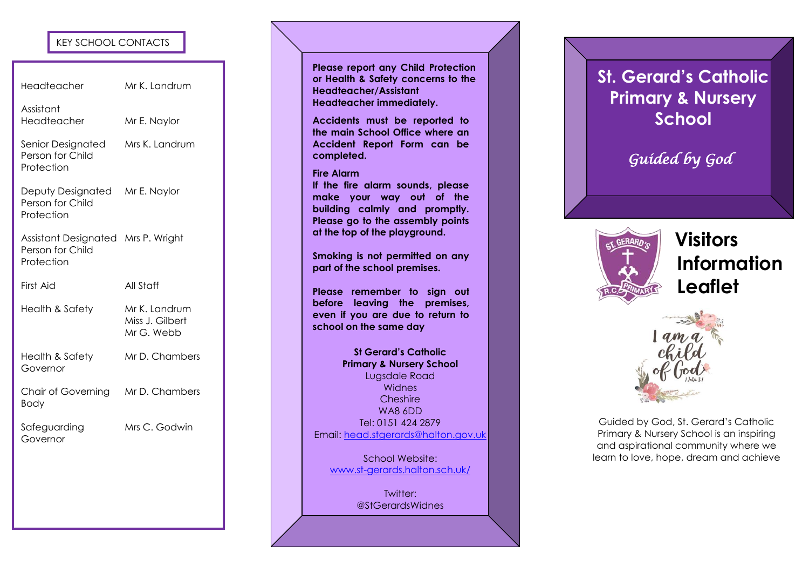# **KEY SCHOOL CONTACTS**

| KEY SCHOOL CONTACTS                                                  |                                                |
|----------------------------------------------------------------------|------------------------------------------------|
| Headteacher                                                          | Mr K. Landrum                                  |
| Assistant<br>Headteacher                                             | Mr E. Naylor                                   |
| Senior Designated<br>Person for Child<br>Protection                  | Mrs K. Landrum                                 |
| Deputy Designated<br>Person for Child<br>Protection                  | Mr E. Naylor                                   |
| Assistant Designated Mrs P. Wright<br>Person for Child<br>Protection |                                                |
| First Aid                                                            | All Staff                                      |
| <b>Health &amp; Safety</b>                                           | Mr K. Landrum<br>Miss J. Gilbert<br>Mr G. Webb |
| Health & Safety<br>Governor                                          | Mr D. Chambers                                 |
| <b>Chair of Governing</b><br>Body                                    | Mr D. Chambers                                 |
| Safeguarding<br>Governor                                             | Mrs C. Godwin                                  |
|                                                                      |                                                |
|                                                                      |                                                |

**Please report any Child Protection or Health & Safety concerns to the Headteacher/Assistant Headteacher immediately.**

**Accidents must be reported to the main School Office where an Accident Report Form can be completed.**

### **Fire Alarm**

**If the fire alarm sounds, please make your way out of the building calmly and promptly. Please go to the assembly points at the top of the playground.**

**Smoking is not permitted on any part of the school premises.**

**Please remember to sign out before leaving the premises, even if you are due to return to school on the same day**

**St Gerard's Catholic Primary & Nursery School** Lugsdale Road Widnes Cheshire WA8 6DD Tel: 0151 424 2879 Email: [head.stgerards@halton.gov.uk](mailto:head.stgerards@halton.gov.uk)

School Website: www.st [-gerards.halton.sch.uk/](http://www.st-gerards.halton.sch.uk/)

> Twitter: @StGerardsWidnes

# **St. Gerard's Catholic Primary & Nursery School**

*Guided by God* 



 **Visitors Information Leaflet**



Guided by God, St. Gerard's Catholic Primary & Nursery School is an inspiring and aspirational community where we learn to love, hope, dream and achieve